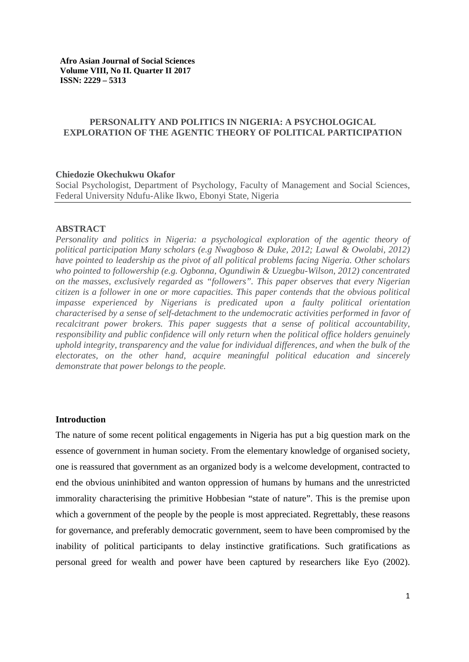# **PERSONALITY AND POLITICS IN NIGERIA: A PSYCHOLOGICAL EXPLORATION OF THE AGENTIC THEORY OF POLITICAL PARTICIPATION**

### **Chiedozie Okechukwu Okafor**

Social Psychologist, Department of Psychology, Faculty of Management and Social Sciences, Federal University Ndufu-Alike Ikwo, Ebonyi State, Nigeria

#### **ABSTRACT**

*Personality and politics in Nigeria: a psychological exploration of the agentic theory of political participation Many scholars (e.g Nwagboso & Duke, 2012; Lawal & Owolabi, 2012) have pointed to leadership as the pivot of all political problems facing Nigeria. Other scholars who pointed to followership (e.g. Ogbonna, Ogundiwin & Uzuegbu-Wilson, 2012) concentrated on the masses, exclusively regarded as "followers". This paper observes that every Nigerian citizen is a follower in one or more capacities. This paper contends that the obvious political impasse experienced by Nigerians is predicated upon a faulty political orientation characterised by a sense of self-detachment to the undemocratic activities performed in favor of recalcitrant power brokers. This paper suggests that a sense of political accountability, responsibility and public confidence will only return when the political office holders genuinely uphold integrity, transparency and the value for individual differences, and when the bulk of the electorates, on the other hand, acquire meaningful political education and sincerely demonstrate that power belongs to the people.*

### **Introduction**

The nature of some recent political engagements in Nigeria has put a big question mark on the essence of government in human society. From the elementary knowledge of organised society, one is reassured that government as an organized body is a welcome development, contracted to end the obvious uninhibited and wanton oppression of humans by humans and the unrestricted immorality characterising the primitive Hobbesian "state of nature". This is the premise upon which a government of the people by the people is most appreciated. Regrettably, these reasons for governance, and preferably democratic government, seem to have been compromised by the inability of political participants to delay instinctive gratifications. Such gratifications as personal greed for wealth and power have been captured by researchers like Eyo (2002).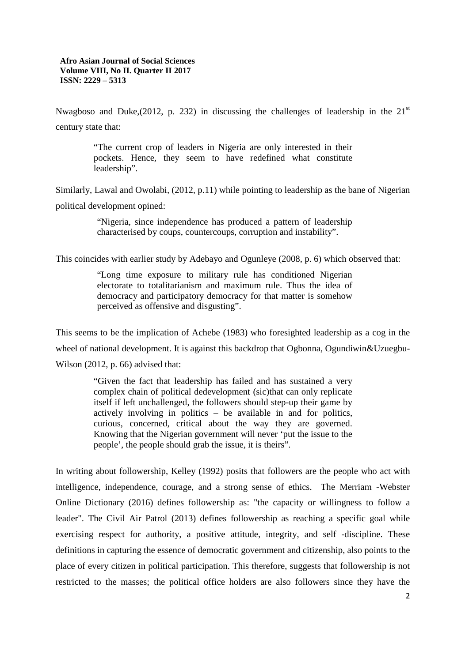Nwagboso and Duke,(2012, p. 232) in discussing the challenges of leadership in the  $21<sup>st</sup>$ century state that:

> "The current crop of leaders in Nigeria are only interested in their pockets. Hence, they seem to have redefined what constitute leadership".

Similarly, Lawal and Owolabi, (2012, p.11) while pointing to leadership as the bane of Nigerian political development opined:

> "Nigeria, since independence has produced a pattern of leadership characterised by coups, countercoups, corruption and instability".

This coincides with earlier study by Adebayo and Ogunleye (2008, p. 6) which observed that:

"Long time exposure to military rule has conditioned Nigerian electorate to totalitarianism and maximum rule. Thus the idea of democracy and participatory democracy for that matter is somehow perceived as offensive and disgusting".

This seems to be the implication of Achebe (1983) who foresighted leadership as a cog in the wheel of national development. It is against this backdrop that Ogbonna, Ogundiwin&Uzuegbu-Wilson (2012, p. 66) advised that:

> "Given the fact that leadership has failed and has sustained a very complex chain of political dedevelopment (sic)that can only replicate itself if left unchallenged, the followers should step-up their game by actively involving in politics – be available in and for politics, curious, concerned, critical about the way they are governed. Knowing that the Nigerian government will never 'put the issue to the people', the people should grab the issue, it is theirs".

In writing about followership, Kelley (1992) posits that followers are the people who act with intelligence, independence, courage, and a strong sense of ethics. The Merriam -Webster Online Dictionary (2016) defines followership as: "the capacity or willingness to follow a leader". The Civil Air Patrol (2013) defines followership as reaching a specific goal while exercising respect for authority, a positive attitude, integrity, and self -discipline. These definitions in capturing the essence of democratic government and citizenship, also points to the place of every citizen in political participation. This therefore, suggests that followership is not restricted to the masses; the political office holders are also followers since they have the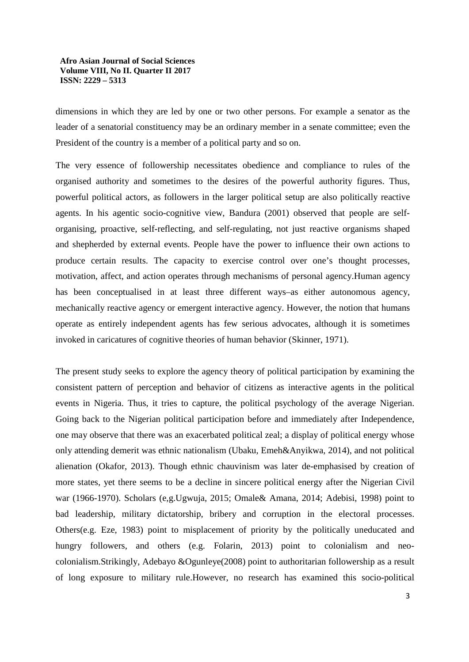dimensions in which they are led by one or two other persons. For example a senator as the leader of a senatorial constituency may be an ordinary member in a senate committee; even the President of the country is a member of a political party and so on.

The very essence of followership necessitates obedience and compliance to rules of the organised authority and sometimes to the desires of the powerful authority figures. Thus, powerful political actors, as followers in the larger political setup are also politically reactive agents. In his agentic socio-cognitive view, Bandura (2001) observed that people are selforganising, proactive, self-reflecting, and self-regulating, not just reactive organisms shaped and shepherded by external events. People have the power to influence their own actions to produce certain results. The capacity to exercise control over one's thought processes, motivation, affect, and action operates through mechanisms of personal agency.Human agency has been conceptualised in at least three different ways–as either autonomous agency, mechanically reactive agency or emergent interactive agency. However, the notion that humans operate as entirely independent agents has few serious advocates, although it is sometimes invoked in caricatures of cognitive theories of human behavior (Skinner, 1971).

The present study seeks to explore the agency theory of political participation by examining the consistent pattern of perception and behavior of citizens as interactive agents in the political events in Nigeria. Thus, it tries to capture, the political psychology of the average Nigerian. Going back to the Nigerian political participation before and immediately after Independence, one may observe that there was an exacerbated political zeal; a display of political energy whose only attending demerit was ethnic nationalism (Ubaku, Emeh&Anyikwa, 2014), and not political alienation (Okafor, 2013). Though ethnic chauvinism was later de-emphasised by creation of more states, yet there seems to be a decline in sincere political energy after the Nigerian Civil war (1966-1970). Scholars (e,g.Ugwuja, 2015; Omale& Amana, 2014; Adebisi, 1998) point to bad leadership, military dictatorship, bribery and corruption in the electoral processes. Others(e.g. Eze, 1983) point to misplacement of priority by the politically uneducated and hungry followers, and others (e.g. Folarin, 2013) point to colonialism and neocolonialism.Strikingly, Adebayo &Ogunleye(2008) point to authoritarian followership as a result of long exposure to military rule.However, no research has examined this socio-political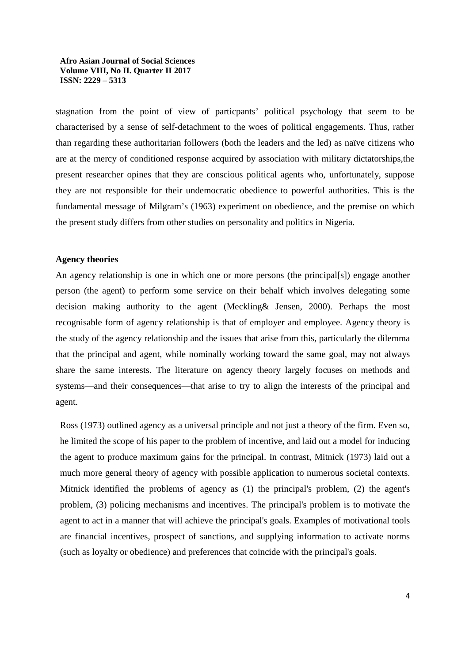stagnation from the point of view of particpants' political psychology that seem to be characterised by a sense of self-detachment to the woes of political engagements. Thus, rather than regarding these authoritarian followers (both the leaders and the led) as naïve citizens who are at the mercy of conditioned response acquired by association with military dictatorships,the present researcher opines that they are conscious political agents who, unfortunately, suppose they are not responsible for their undemocratic obedience to powerful authorities. This is the fundamental message of Milgram's (1963) experiment on obedience, and the premise on which the present study differs from other studies on personality and politics in Nigeria.

### **Agency theories**

An agency relationship is one in which one or more persons (the principal[s]) engage another person (the agent) to perform some service on their behalf which involves delegating some decision making authority to the agent (Meckling& Jensen, 2000). Perhaps the most recognisable form of agency relationship is that of employer and employee. Agency theory is the study of the agency relationship and the issues that arise from this, particularly the dilemma that the principal and agent, while nominally working toward the same goal, may not always share the same interests. The literature on agency theory largely focuses on methods and systems—and their consequences—that arise to try to align the interests of the principal and agent.

Ross (1973) outlined agency as a universal principle and not just a theory of the firm. Even so, he limited the scope of his paper to the problem of incentive, and laid out a model for inducing the agent to produce maximum gains for the principal. In contrast, Mitnick (1973) laid out a much more general theory of agency with possible application to numerous societal contexts. Mitnick identified the problems of agency as (1) the principal's problem, (2) the agent's problem, (3) policing mechanisms and incentives. The principal's problem is to motivate the agent to act in a manner that will achieve the principal's goals. Examples of motivational tools are financial incentives, prospect of sanctions, and supplying information to activate norms (such as loyalty or obedience) and preferences that coincide with the principal's goals.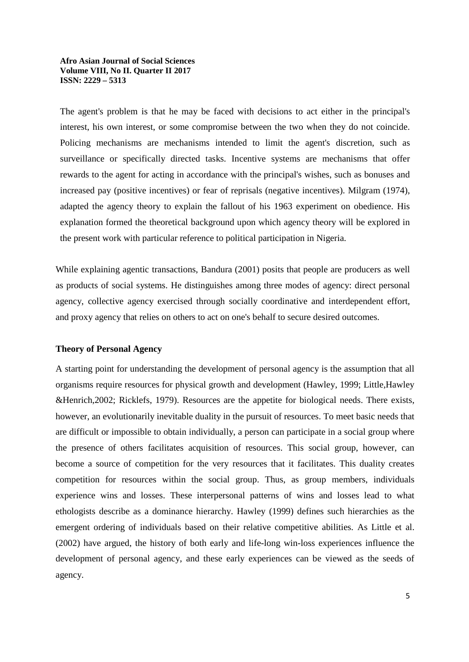The agent's problem is that he may be faced with decisions to act either in the principal's interest, his own interest, or some compromise between the two when they do not coincide. Policing mechanisms are mechanisms intended to limit the agent's discretion, such as surveillance or specifically directed tasks. Incentive systems are mechanisms that offer rewards to the agent for acting in accordance with the principal's wishes, such as bonuses and increased pay (positive incentives) or fear of reprisals (negative incentives). Milgram (1974), adapted the agency theory to explain the fallout of his 1963 experiment on obedience. His explanation formed the theoretical background upon which agency theory will be explored in the present work with particular reference to political participation in Nigeria.

While explaining agentic transactions, Bandura (2001) posits that people are producers as well as products of social systems. He distinguishes among three modes of agency: direct personal agency, collective agency exercised through socially coordinative and interdependent effort, and proxy agency that relies on others to act on one's behalf to secure desired outcomes.

### **Theory of Personal Agency**

A starting point for understanding the development of personal agency is the assumption that all organisms require resources for physical growth and development (Hawley, 1999; Little,Hawley &Henrich,2002; Ricklefs, 1979). Resources are the appetite for biological needs. There exists, however, an evolutionarily inevitable duality in the pursuit of resources. To meet basic needs that are difficult or impossible to obtain individually, a person can participate in a social group where the presence of others facilitates acquisition of resources. This social group, however, can become a source of competition for the very resources that it facilitates. This duality creates competition for resources within the social group. Thus, as group members, individuals experience wins and losses. These interpersonal patterns of wins and losses lead to what ethologists describe as a dominance hierarchy. Hawley (1999) defines such hierarchies as the emergent ordering of individuals based on their relative competitive abilities. As Little et al. (2002) have argued, the history of both early and life-long win-loss experiences influence the development of personal agency, and these early experiences can be viewed as the seeds of agency.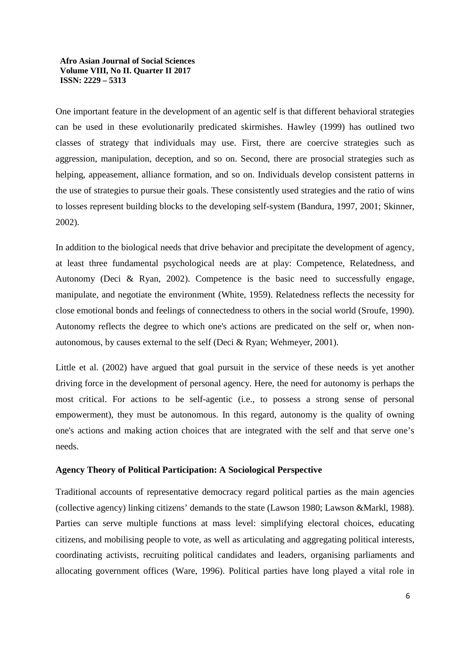One important feature in the development of an agentic self is that different behavioral strategies can be used in these evolutionarily predicated skirmishes. Hawley (1999) has outlined two classes of strategy that individuals may use. First, there are coercive strategies such as aggression, manipulation, deception, and so on. Second, there are prosocial strategies such as helping, appeasement, alliance formation, and so on. Individuals develop consistent patterns in the use of strategies to pursue their goals. These consistently used strategies and the ratio of wins to losses represent building blocks to the developing self-system (Bandura, 1997, 2001; Skinner, 2002).

In addition to the biological needs that drive behavior and precipitate the development of agency, at least three fundamental psychological needs are at play: Competence, Relatedness, and Autonomy (Deci & Ryan, 2002). Competence is the basic need to successfully engage, manipulate, and negotiate the environment (White, 1959). Relatedness reflects the necessity for close emotional bonds and feelings of connectedness to others in the social world (Sroufe, 1990). Autonomy reflects the degree to which one's actions are predicated on the self or, when nonautonomous, by causes external to the self (Deci & Ryan; Wehmeyer, 2001).

Little et al. (2002) have argued that goal pursuit in the service of these needs is yet another driving force in the development of personal agency. Here, the need for autonomy is perhaps the most critical. For actions to be self-agentic (i.e., to possess a strong sense of personal empowerment), they must be autonomous. In this regard, autonomy is the quality of owning one's actions and making action choices that are integrated with the self and that serve one's needs.

### **Agency Theory of Political Participation: A Sociological Perspective**

Traditional accounts of representative democracy regard political parties as the main agencies (collective agency) linking citizens' demands to the state (Lawson 1980; Lawson &Markl, 1988). Parties can serve multiple functions at mass level: simplifying electoral choices, educating citizens, and mobilising people to vote, as well as articulating and aggregating political interests, coordinating activists, recruiting political candidates and leaders, organising parliaments and allocating government offices (Ware, 1996). Political parties have long played a vital role in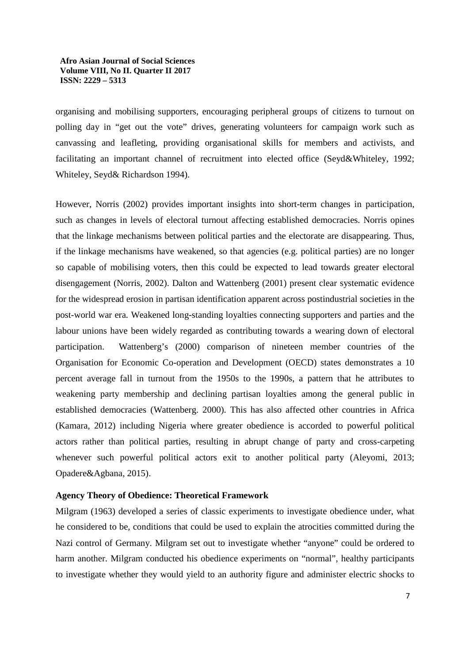organising and mobilising supporters, encouraging peripheral groups of citizens to turnout on polling day in "get out the vote" drives, generating volunteers for campaign work such as canvassing and leafleting, providing organisational skills for members and activists, and facilitating an important channel of recruitment into elected office (Seyd&Whiteley, 1992; Whiteley, Seyd& Richardson 1994).

However, Norris (2002) provides important insights into short-term changes in participation, such as changes in levels of electoral turnout affecting established democracies. Norris opines that the linkage mechanisms between political parties and the electorate are disappearing. Thus, if the linkage mechanisms have weakened, so that agencies (e.g. political parties) are no longer so capable of mobilising voters, then this could be expected to lead towards greater electoral disengagement (Norris, 2002). Dalton and Wattenberg (2001) present clear systematic evidence for the widespread erosion in partisan identification apparent across postindustrial societies in the post-world war era. Weakened long-standing loyalties connecting supporters and parties and the labour unions have been widely regarded as contributing towards a wearing down of electoral participation. Wattenberg's (2000) comparison of nineteen member countries of the Organisation for Economic Co-operation and Development (OECD) states demonstrates a 10 percent average fall in turnout from the 1950s to the 1990s, a pattern that he attributes to weakening party membership and declining partisan loyalties among the general public in established democracies (Wattenberg. 2000). This has also affected other countries in Africa (Kamara, 2012) including Nigeria where greater obedience is accorded to powerful political actors rather than political parties, resulting in abrupt change of party and cross-carpeting whenever such powerful political actors exit to another political party (Aleyomi, 2013; Opadere&Agbana, 2015).

## **Agency Theory of Obedience: Theoretical Framework**

Milgram (1963) developed a series of classic experiments to investigate obedience under, what he considered to be, conditions that could be used to explain the atrocities committed during the Nazi control of Germany. Milgram set out to investigate whether "anyone" could be ordered to harm another. Milgram conducted his obedience experiments on "normal", healthy participants to investigate whether they would yield to an authority figure and administer electric shocks to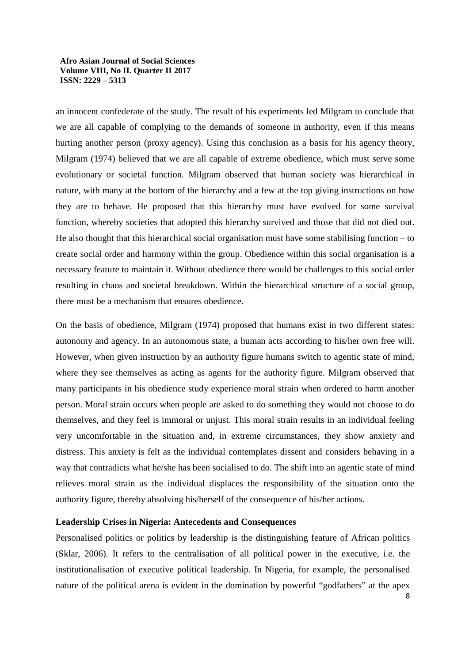an innocent confederate of the study. The result of his experiments led Milgram to conclude that we are all capable of complying to the demands of someone in authority, even if this means hurting another person (proxy agency). Using this conclusion as a basis for his agency theory, Milgram (1974) believed that we are all capable of extreme obedience, which must serve some evolutionary or societal function. Milgram observed that human society was hierarchical in nature, with many at the bottom of the hierarchy and a few at the top giving instructions on how they are to behave. He proposed that this hierarchy must have evolved for some survival function, whereby societies that adopted this hierarchy survived and those that did not died out. He also thought that this hierarchical social organisation must have some stabilising function  $-$  to create social order and harmony within the group. Obedience within this social organisation is a necessary feature to maintain it. Without obedience there would be challenges to this social order resulting in chaos and societal breakdown. Within the hierarchical structure of a social group, there must be a mechanism that ensures obedience.

On the basis of obedience, Milgram (1974) proposed that humans exist in two different states: autonomy and agency. In an autonomous state, a human acts according to his/her own free will. However, when given instruction by an authority figure humans switch to agentic state of mind, where they see themselves as acting as agents for the authority figure. Milgram observed that many participants in his obedience study experience moral strain when ordered to harm another person. Moral strain occurs when people are asked to do something they would not choose to do themselves, and they feel is immoral or unjust. This moral strain results in an individual feeling very uncomfortable in the situation and, in extreme circumstances, they show anxiety and distress. This anxiety is felt as the individual contemplates dissent and considers behaving in a way that contradicts what he/she has been socialised to do. The shift into an agentic state of mind relieves moral strain as the individual displaces the responsibility of the situation onto the authority figure, thereby absolving his/herself of the consequence of his/her actions.

## **Leadership Crises in Nigeria: Antecedents and Consequences**

Personalised politics or politics by leadership is the distinguishing feature of African politics (Sklar, 2006). It refers to the centralisation of all political power in the executive, i.e. the institutionalisation of executive political leadership. In Nigeria, for example, the personalised nature of the political arena is evident in the domination by powerful "godfathers" at the apex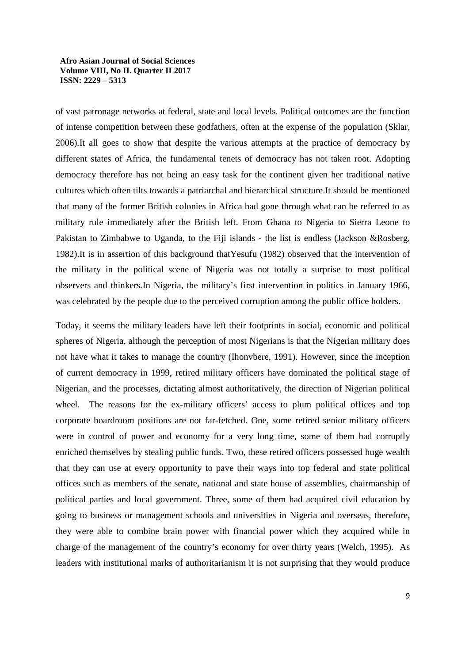of vast patronage networks at federal, state and local levels. Political outcomes are the function of intense competition between these godfathers, often at the expense of the population (Sklar, 2006).It all goes to show that despite the various attempts at the practice of democracy by different states of Africa, the fundamental tenets of democracy has not taken root. Adopting democracy therefore has not being an easy task for the continent given her traditional native cultures which often tilts towards a patriarchal and hierarchical structure.It should be mentioned that many of the former British colonies in Africa had gone through what can be referred to as military rule immediately after the British left. From Ghana to Nigeria to Sierra Leone to Pakistan to Zimbabwe to Uganda, to the Fiji islands - the list is endless (Jackson &Rosberg, 1982).It is in assertion of this background thatYesufu (1982) observed that the intervention of the military in the political scene of Nigeria was not totally a surprise to most political observers and thinkers.In Nigeria, the military's first intervention in politics in January 1966, was celebrated by the people due to the perceived corruption among the public office holders.

Today, it seems the military leaders have left their footprints in social, economic and political spheres of Nigeria, although the perception of most Nigerians is that the Nigerian military does not have what it takes to manage the country (Ihonvbere, 1991). However, since the inception of current democracy in 1999, retired military officers have dominated the political stage of Nigerian, and the processes, dictating almost authoritatively, the direction of Nigerian political wheel. The reasons for the ex-military officers' access to plum political offices and top corporate boardroom positions are not far-fetched. One, some retired senior military officers were in control of power and economy for a very long time, some of them had corruptly enriched themselves by stealing public funds. Two, these retired officers possessed huge wealth that they can use at every opportunity to pave their ways into top federal and state political offices such as members of the senate, national and state house of assemblies, chairmanship of political parties and local government. Three, some of them had acquired civil education by going to business or management schools and universities in Nigeria and overseas, therefore, they were able to combine brain power with financial power which they acquired while in charge of the management of the country's economy for over thirty years (Welch, 1995). As leaders with institutional marks of authoritarianism it is not surprising that they would produce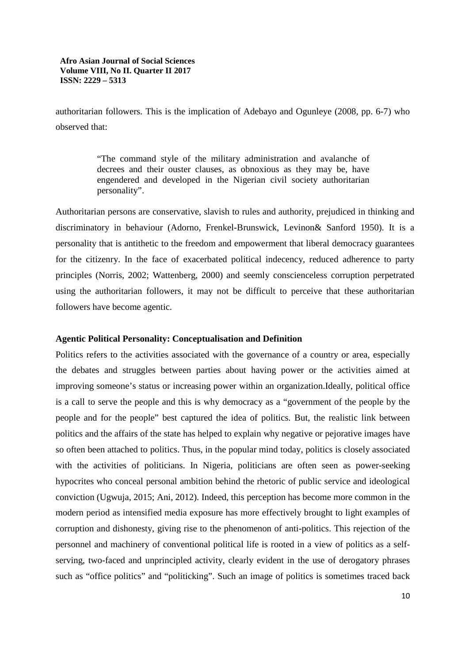authoritarian followers. This is the implication of Adebayo and Ogunleye (2008, pp. 6-7) who observed that:

> "The command style of the military administration and avalanche of decrees and their ouster clauses, as obnoxious as they may be, have engendered and developed in the Nigerian civil society authoritarian personality".

Authoritarian persons are conservative, slavish to rules and authority, prejudiced in thinking and discriminatory in behaviour (Adorno, Frenkel-Brunswick, Levinon& Sanford 1950). It is a personality that is antithetic to the freedom and empowerment that liberal democracy guarantees for the citizenry. In the face of exacerbated political indecency, reduced adherence to party principles (Norris, 2002; Wattenberg, 2000) and seemly conscienceless corruption perpetrated using the authoritarian followers, it may not be difficult to perceive that these authoritarian followers have become agentic.

## **Agentic Political Personality: Conceptualisation and Definition**

Politics refers to the activities associated with the governance of a country or area, especially the debates and struggles between parties about having power or the activities aimed at improving someone's status or increasing power within an organization.Ideally, political office is a call to serve the people and this is why democracy as a "government of the people by the people and for the people" best captured the idea of politics. But, the realistic link between politics and the affairs of the state has helped to explain why negative or pejorative images have so often been attached to politics. Thus, in the popular mind today, politics is closely associated with the activities of politicians. In Nigeria, politicians are often seen as power-seeking hypocrites who conceal personal ambition behind the rhetoric of public service and ideological conviction (Ugwuja, 2015; Ani, 2012). Indeed, this perception has become more common in the modern period as intensified media exposure has more effectively brought to light examples of corruption and dishonesty, giving rise to the phenomenon of anti-politics. This rejection of the personnel and machinery of conventional political life is rooted in a view of politics as a selfserving, two-faced and unprincipled activity, clearly evident in the use of derogatory phrases such as "office politics" and "politicking". Such an image of politics is sometimes traced back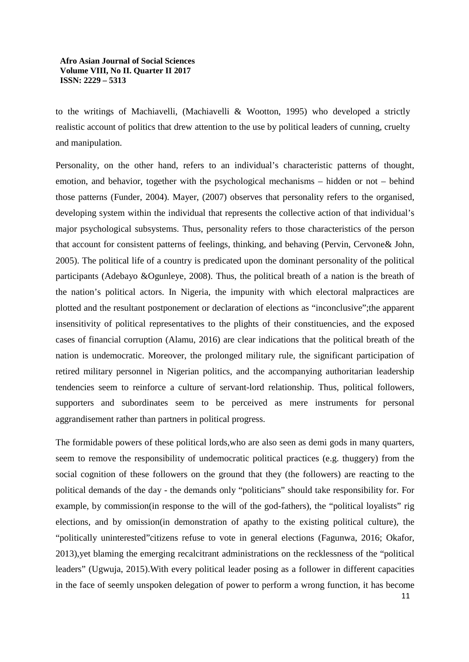to the writings of Machiavelli, (Machiavelli & Wootton, 1995) who developed a strictly realistic account of politics that drew attention to the use by political leaders of cunning, cruelty and manipulation.

Personality, on the other hand, refers to an individual's characteristic patterns of thought, emotion, and behavior, together with the psychological mechanisms – hidden or not – behind those patterns (Funder, 2004). Mayer, (2007) observes that personality refers to the organised, developing system within the individual that represents the collective action of that individual's major psychological subsystems. Thus, personality refers to those characteristics of the person that account for consistent patterns of feelings, thinking, and behaving (Pervin, Cervone& John, 2005). The political life of a country is predicated upon the dominant personality of the political participants (Adebayo &Ogunleye, 2008). Thus, the political breath of a nation is the breath of the nation's political actors. In Nigeria, the impunity with which electoral malpractices are plotted and the resultant postponement or declaration of elections as "inconclusive";the apparent insensitivity of political representatives to the plights of their constituencies, and the exposed cases of financial corruption (Alamu, 2016) are clear indications that the political breath of the nation is undemocratic. Moreover, the prolonged military rule, the significant participation of retired military personnel in Nigerian politics, and the accompanying authoritarian leadership tendencies seem to reinforce a culture of servant-lord relationship. Thus, political followers, supporters and subordinates seem to be perceived as mere instruments for personal aggrandisement rather than partners in political progress.

The formidable powers of these political lords,who are also seen as demi gods in many quarters, seem to remove the responsibility of undemocratic political practices (e.g. thuggery) from the social cognition of these followers on the ground that they (the followers) are reacting to the political demands of the day - the demands only "politicians" should take responsibility for. For example, by commission(in response to the will of the god-fathers), the "political loyalists" rig elections, and by omission(in demonstration of apathy to the existing political culture), the "politically uninterested"citizens refuse to vote in general elections (Fagunwa, 2016; Okafor, 2013),yet blaming the emerging recalcitrant administrations on the recklessness of the "political leaders" (Ugwuja, 2015).With every political leader posing as a follower in different capacities in the face of seemly unspoken delegation of power to perform a wrong function, it has become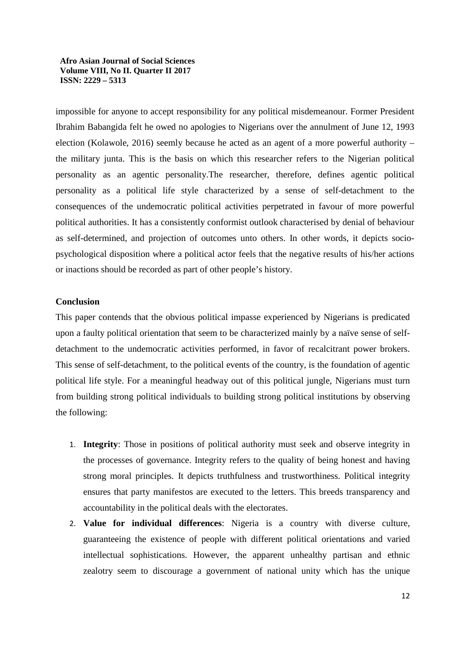impossible for anyone to accept responsibility for any political misdemeanour. Former President Ibrahim Babangida felt he owed no apologies to Nigerians over the annulment of June 12, 1993 election (Kolawole, 2016) seemly because he acted as an agent of a more powerful authority – the military junta. This is the basis on which this researcher refers to the Nigerian political personality as an agentic personality.The researcher, therefore, defines agentic political personality as a political life style characterized by a sense of self-detachment to the consequences of the undemocratic political activities perpetrated in favour of more powerful political authorities. It has a consistently conformist outlook characterised by denial of behaviour as self-determined, and projection of outcomes unto others. In other words, it depicts sociopsychological disposition where a political actor feels that the negative results of his/her actions or inactions should be recorded as part of other people's history.

## **Conclusion**

This paper contends that the obvious political impasse experienced by Nigerians is predicated upon a faulty political orientation that seem to be characterized mainly by a naïve sense of selfdetachment to the undemocratic activities performed, in favor of recalcitrant power brokers. This sense of self-detachment, to the political events of the country, is the foundation of agentic political life style. For a meaningful headway out of this political jungle, Nigerians must turn from building strong political individuals to building strong political institutions by observing the following:

- 1. **Integrity**: Those in positions of political authority must seek and observe integrity in the processes of governance. Integrity refers to the quality of being honest and having strong moral principles. It depicts truthfulness and trustworthiness. Political integrity ensures that party manifestos are executed to the letters. This breeds transparency and accountability in the political deals with the electorates.
- 2. **Value for individual differences**: Nigeria is a country with diverse culture, guaranteeing the existence of people with different political orientations and varied intellectual sophistications. However, the apparent unhealthy partisan and ethnic zealotry seem to discourage a government of national unity which has the unique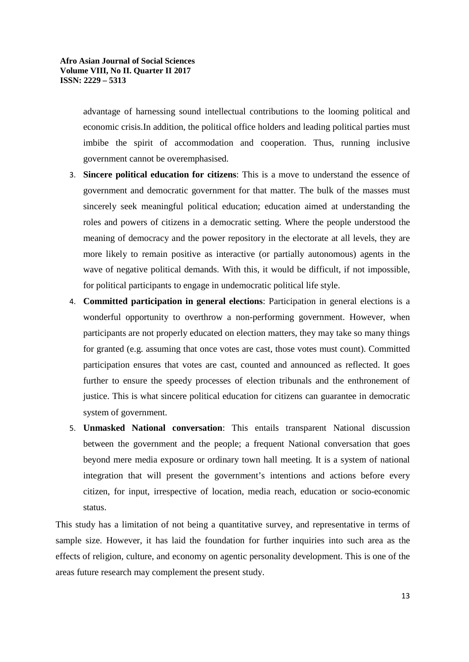advantage of harnessing sound intellectual contributions to the looming political and economic crisis.In addition, the political office holders and leading political parties must imbibe the spirit of accommodation and cooperation. Thus, running inclusive government cannot be overemphasised.

- 3. **Sincere political education for citizens**: This is a move to understand the essence of government and democratic government for that matter. The bulk of the masses must sincerely seek meaningful political education; education aimed at understanding the roles and powers of citizens in a democratic setting. Where the people understood the meaning of democracy and the power repository in the electorate at all levels, they are more likely to remain positive as interactive (or partially autonomous) agents in the wave of negative political demands. With this, it would be difficult, if not impossible, for political participants to engage in undemocratic political life style.
- 4. **Committed participation in general elections**: Participation in general elections is a wonderful opportunity to overthrow a non-performing government. However, when participants are not properly educated on election matters, they may take so many things for granted (e.g. assuming that once votes are cast, those votes must count). Committed participation ensures that votes are cast, counted and announced as reflected. It goes further to ensure the speedy processes of election tribunals and the enthronement of justice. This is what sincere political education for citizens can guarantee in democratic system of government.
- 5. **Unmasked National conversation**: This entails transparent National discussion between the government and the people; a frequent National conversation that goes beyond mere media exposure or ordinary town hall meeting. It is a system of national integration that will present the government's intentions and actions before every citizen, for input, irrespective of location, media reach, education or socio-economic status.

This study has a limitation of not being a quantitative survey, and representative in terms of sample size. However, it has laid the foundation for further inquiries into such area as the effects of religion, culture, and economy on agentic personality development. This is one of the areas future research may complement the present study.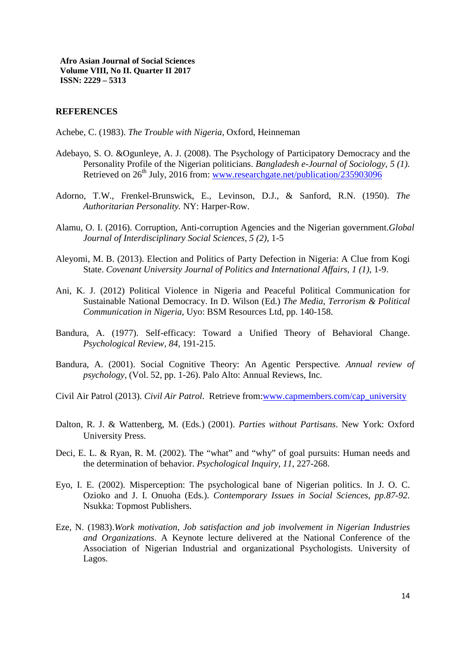### **REFERENCES**

Achebe, C. (1983). *The Trouble with Nigeria*, Oxford, Heinneman

- Adebayo, S. O. &Ogunleye, A. J. (2008). The Psychology of Participatory Democracy and the Personality Profile of the Nigerian politicians. *Bangladesh e-Journal of Sociology, 5 (1).* Retrieved on  $26<sup>th</sup>$  July, 2016 from: www.researchgate.net/publication/235903096
- Adorno, T.W., Frenkel-Brunswick, E., Levinson, D.J., & Sanford, R.N. (1950). *The Authoritarian Personality.* NY: Harper-Row.
- Alamu, O. I. (2016). Corruption, Anti-corruption Agencies and the Nigerian government.*Global Journal of Interdisciplinary Social Sciences, 5 (2)*, 1-5
- Aleyomi, M. B. (2013). Election and Politics of Party Defection in Nigeria: A Clue from Kogi State. *Covenant University Journal of Politics and International Affairs, 1 (1),* 1-9.
- Ani, K. J. (2012) Political Violence in Nigeria and Peaceful Political Communication for Sustainable National Democracy. In D. Wilson (Ed.) *The Media, Terrorism & Political Communication in Nigeria*, Uyo: BSM Resources Ltd, pp. 140-158.
- Bandura, A. (1977). Self-efficacy: Toward a Unified Theory of Behavioral Change. *Psychological Review, 84*, 191-215.
- Bandura, A. (2001). Social Cognitive Theory: An Agentic Perspective*. Annual review of psychology,* (Vol. 52, pp. 1-26). Palo Alto: Annual Reviews, Inc.
- Civil Air Patrol (2013). *Civil Air Patrol*. Retrieve from:www.capmembers.com/cap\_university
- Dalton, R. J. & Wattenberg, M. (Eds.) (2001). *Parties without Partisans*. New York: Oxford University Press.
- Deci, E. L. & Ryan, R. M. (2002). The "what" and "why" of goal pursuits: Human needs and the determination of behavior. *Psychological Inquiry, 11*, 227-268.
- Eyo, I. E. (2002). Misperception: The psychological bane of Nigerian politics. In J. O. C. Ozioko and J. I. Onuoha (Eds.). *Contemporary Issues in Social Sciences, pp.87-92.*  Nsukka: Topmost Publishers.
- Eze, N. (1983).*Work motivation, Job satisfaction and job involvement in Nigerian Industries and Organizations*. A Keynote lecture delivered at the National Conference of the Association of Nigerian Industrial and organizational Psychologists. University of Lagos.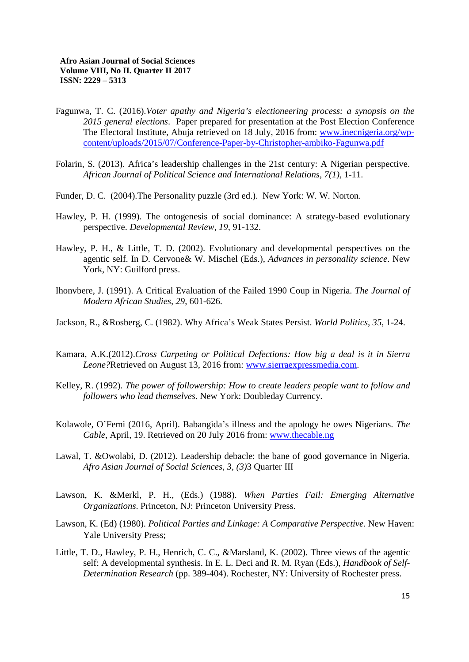- Fagunwa, T. C. (2016).*Voter apathy and Nigeria's electioneering process: a synopsis on the 2015 general elections*. Paper prepared for presentation at the Post Election Conference The Electoral Institute, Abuja retrieved on 18 July, 2016 from: www.inecnigeria.org/wpcontent/uploads/2015/07/Conference-Paper-by-Christopher-ambiko-Fagunwa.pdf
- Folarin, S. (2013). Africa's leadership challenges in the 21st century: A Nigerian perspective. *African Journal of Political Science and International Relations, 7(1),* 1-11.
- Funder, D. C. (2004).The Personality puzzle (3rd ed.). New York: W. W. Norton.
- Hawley, P. H. (1999). The ontogenesis of social dominance: A strategy-based evolutionary perspective. *Developmental Review, 19*, 91-132.
- Hawley, P. H., & Little, T. D. (2002). Evolutionary and developmental perspectives on the agentic self. In D. Cervone& W. Mischel (Eds.), *Advances in personality science*. New York, NY: Guilford press.
- Ihonvbere, J. (1991). A Critical Evaluation of the Failed 1990 Coup in Nigeria. *The Journal of Modern African Studies, 29*, 601-626.
- Jackson, R., &Rosberg, C. (1982). Why Africa's Weak States Persist. *World Politics, 35*, 1-24.
- Kamara, A.K.(2012).*Cross Carpeting or Political Defections: How big a deal is it in Sierra Leone?*Retrieved on August 13, 2016 from: www.sierraexpressmedia.com.
- Kelley, R. (1992). *The power of followership: How to create leaders people want to follow and followers who lead themselves*. New York: Doubleday Currency.
- Kolawole, O'Femi (2016, April). Babangida's illness and the apology he owes Nigerians. *The Cable*, April, 19. Retrieved on 20 July 2016 from: www.thecable.ng
- Lawal, T. &Owolabi, D. (2012). Leadership debacle: the bane of good governance in Nigeria. *Afro Asian Journal of Social Sciences, 3, (3)*3 Quarter III
- Lawson, K. &Merkl, P. H., (Eds.) (1988). *When Parties Fail: Emerging Alternative Organizations*. Princeton, NJ: Princeton University Press.
- Lawson, K. (Ed) (1980). *Political Parties and Linkage: A Comparative Perspective*. New Haven: Yale University Press;
- Little, T. D., Hawley, P. H., Henrich, C. C., &Marsland, K. (2002). Three views of the agentic self: A developmental synthesis. In E. L. Deci and R. M. Ryan (Eds.), *Handbook of Self-Determination Research* (pp. 389-404). Rochester, NY: University of Rochester press.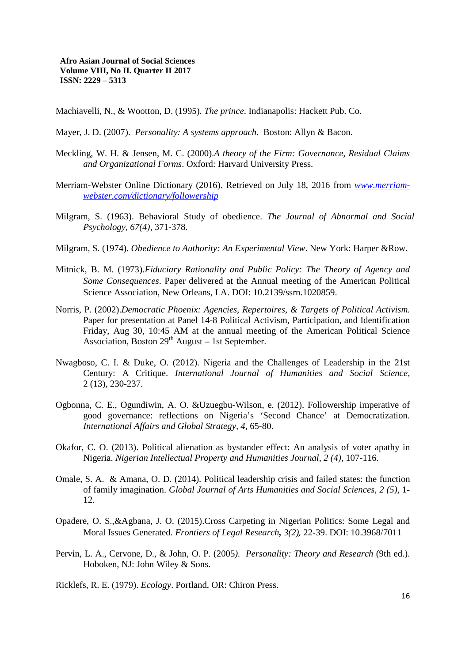Machiavelli, N., & Wootton, D. (1995). *The prince*. Indianapolis: Hackett Pub. Co.

- Mayer, J. D. (2007). *Personality: A systems approach*. Boston: Allyn & Bacon.
- Meckling, W. H. & Jensen, M. C. (2000).*A theory of the Firm: Governance, Residual Claims and Organizational Forms*. Oxford: Harvard University Press.
- Merriam-Webster Online Dictionary (2016). Retrieved on July 18, 2016 from *www.merriamwebster.com/dictionary/followership*
- Milgram, S. (1963). Behavioral Study of obedience. *The Journal of Abnormal and Social Psychology, 67(4),* 371-378.
- Milgram, S. (1974). *Obedience to Authority: An Experimental View*. New York: Harper &Row.
- Mitnick, B. M. (1973).*Fiduciary Rationality and Public Policy: The Theory of Agency and Some Consequences*. Paper delivered at the Annual meeting of the American Political Science Association, New Orleans, LA. DOI: 10.2139/ssrn.1020859.
- Norris, P. (2002).*Democratic Phoenix: Agencies, Repertoires, & Targets of Political Activism.*  Paper for presentation at Panel 14-8 Political Activism, Participation, and Identification Friday, Aug 30, 10:45 AM at the annual meeting of the American Political Science Association, Boston  $29<sup>th</sup>$  August – 1st September.
- Nwagboso, C. I. & Duke, O. (2012). Nigeria and the Challenges of Leadership in the 21st Century: A Critique. *International Journal of Humanities and Social Science,*  2 (13), 230-237.
- Ogbonna, C. E., Ogundiwin, A. O. &Uzuegbu-Wilson, e. (2012). Followership imperative of good governance: reflections on Nigeria's 'Second Chance' at Democratization. *International Affairs and Global Strategy, 4,* 65-80.
- Okafor, C. O. (2013). Political alienation as bystander effect: An analysis of voter apathy in Nigeria. *Nigerian Intellectual Property and Humanities Journal, 2 (4)*, 107-116.
- Omale, S. A. & Amana, O. D. (2014). Political leadership crisis and failed states: the function of family imagination. *Global Journal of Arts Humanities and Social Sciences, 2 (5),* 1- 12.
- Opadere, O. S.,&Agbana, J. O. (2015).Cross Carpeting in Nigerian Politics: Some Legal and Moral Issues Generated. *Frontiers of Legal Research, 3(2),* 22-39. DOI: 10.3968/7011
- Pervin, L. A., Cervone, D., & John, O. P. (2005*). Personality: Theory and Research* (9th ed.). Hoboken, NJ: John Wiley & Sons.

Ricklefs, R. E. (1979). *Ecology*. Portland, OR: Chiron Press.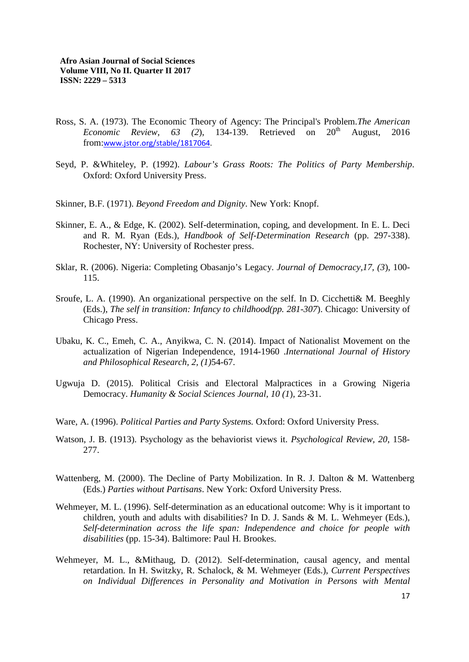- Ross, S. A. (1973). The Economic Theory of Agency: The Principal's Problem.*The American Economic Review, 63 (2), 134-139.* Retrieved on  $20<sup>th</sup>$  August, 2016 from:www.jstor.org/stable/1817064.
- Seyd, P. &Whiteley, P. (1992). *Labour's Grass Roots: The Politics of Party Membership*. Oxford: Oxford University Press.
- Skinner, B.F. (1971). *Beyond Freedom and Dignity*. New York: Knopf.
- Skinner, E. A., & Edge, K. (2002). Self-determination, coping, and development. In E. L. Deci and R. M. Ryan (Eds.), *Handbook of Self-Determination Research* (pp. 297-338). Rochester, NY: University of Rochester press.
- Sklar, R. (2006). Nigeria: Completing Obasanjo's Legacy. *Journal of Democracy,17, (3*), 100- 115.
- Sroufe, L. A. (1990). An organizational perspective on the self. In D. Cicchetti& M. Beeghly (Eds.), *The self in transition: Infancy to childhood(pp. 281-307*). Chicago: University of Chicago Press.
- Ubaku, K. C., Emeh, C. A., Anyikwa, C. N. (2014). Impact of Nationalist Movement on the actualization of Nigerian Independence, 1914-1960 .*International Journal of History and Philosophical Research, 2, (1)*54-67.
- Ugwuja D. (2015). Political Crisis and Electoral Malpractices in a Growing Nigeria Democracy. *Humanity & Social Sciences Journal, 10 (1*), 23-31.
- Ware, A. (1996). *Political Parties and Party Systems.* Oxford: Oxford University Press.
- Watson, J. B. (1913). Psychology as the behaviorist views it. *Psychological Review, 20*, 158- 277.
- Wattenberg, M. (2000). The Decline of Party Mobilization. In R. J. Dalton & M. Wattenberg (Eds.) *Parties without Partisans*. New York: Oxford University Press.
- Wehmeyer, M. L. (1996). Self-determination as an educational outcome: Why is it important to children, youth and adults with disabilities? In D. J. Sands & M. L. Wehmeyer (Eds.), *Self-determination across the life span: Independence and choice for people with disabilities* (pp. 15-34). Baltimore: Paul H. Brookes.
- Wehmeyer, M. L., &Mithaug, D. (2012). Self-determination, causal agency, and mental retardation. In H. Switzky, R. Schalock, & M. Wehmeyer (Eds.), *Current Perspectives on Individual Differences in Personality and Motivation in Persons with Mental*